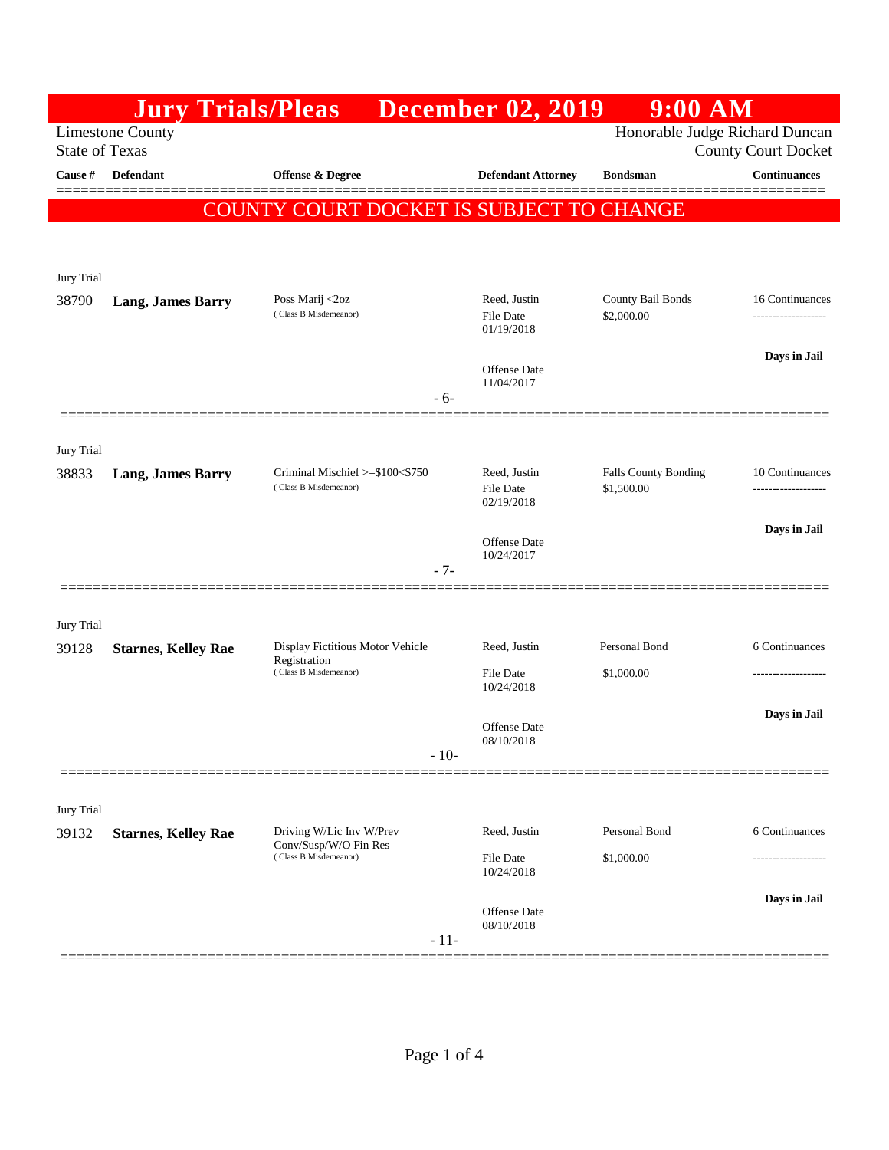|                                                                                                                  | <b>Jury Trials/Pleas</b>   |                                                          | <b>December 02, 2019</b>                       | $9:00$ AM                                 |                     |
|------------------------------------------------------------------------------------------------------------------|----------------------------|----------------------------------------------------------|------------------------------------------------|-------------------------------------------|---------------------|
| Honorable Judge Richard Duncan<br><b>Limestone County</b><br><b>State of Texas</b><br><b>County Court Docket</b> |                            |                                                          |                                                |                                           |                     |
| Cause #                                                                                                          | Defendant                  | Offense & Degree                                         | <b>Defendant Attorney</b>                      | <b>Bondsman</b>                           | <b>Continuances</b> |
|                                                                                                                  |                            | COUNTY COURT DOCKET IS SUBJECT TO CHANGE                 |                                                |                                           |                     |
|                                                                                                                  |                            |                                                          |                                                |                                           |                     |
| Jury Trial                                                                                                       |                            |                                                          |                                                |                                           |                     |
| 38790                                                                                                            | <b>Lang, James Barry</b>   | Poss Marij <2oz<br>(Class B Misdemeanor)                 | Reed, Justin                                   | County Bail Bonds                         | 16 Continuances     |
|                                                                                                                  |                            |                                                          | <b>File Date</b><br>01/19/2018                 | \$2,000.00                                |                     |
|                                                                                                                  |                            |                                                          | <b>Offense</b> Date                            |                                           | Days in Jail        |
|                                                                                                                  |                            | - 6-                                                     | 11/04/2017                                     |                                           |                     |
|                                                                                                                  |                            |                                                          |                                                |                                           |                     |
| Jury Trial                                                                                                       |                            |                                                          |                                                |                                           |                     |
| 38833                                                                                                            | <b>Lang, James Barry</b>   | Criminal Mischief >=\$100<\$750<br>(Class B Misdemeanor) | Reed, Justin<br><b>File Date</b><br>02/19/2018 | <b>Falls County Bonding</b><br>\$1,500.00 | 10 Continuances     |
|                                                                                                                  |                            |                                                          |                                                |                                           | Days in Jail        |
|                                                                                                                  |                            |                                                          | <b>Offense</b> Date<br>10/24/2017              |                                           |                     |
|                                                                                                                  |                            | $-7-$                                                    |                                                |                                           |                     |
| Jury Trial                                                                                                       |                            |                                                          |                                                |                                           |                     |
| 39128                                                                                                            | <b>Starnes, Kelley Rae</b> | Display Fictitious Motor Vehicle                         | Reed, Justin                                   | Personal Bond                             | 6 Continuances      |
|                                                                                                                  |                            | Registration<br>(Class B Misdemeanor)                    | <b>File Date</b><br>10/24/2018                 | \$1,000.00                                |                     |
|                                                                                                                  |                            |                                                          |                                                |                                           | Days in Jail        |
|                                                                                                                  |                            |                                                          | <b>Offense</b> Date<br>08/10/2018              |                                           |                     |
|                                                                                                                  |                            | $-10-$                                                   |                                                |                                           |                     |
| Jury Trial                                                                                                       |                            |                                                          |                                                |                                           |                     |
| 39132                                                                                                            | <b>Starnes, Kelley Rae</b> | Driving W/Lic Inv W/Prev<br>Conv/Susp/W/O Fin Res        | Reed, Justin                                   | Personal Bond                             | 6 Continuances      |
|                                                                                                                  |                            | (Class B Misdemeanor)                                    | <b>File Date</b><br>10/24/2018                 | \$1,000.00                                |                     |
|                                                                                                                  |                            |                                                          |                                                |                                           | Days in Jail        |
|                                                                                                                  |                            |                                                          | Offense Date<br>08/10/2018                     |                                           |                     |
|                                                                                                                  |                            | $-11-$                                                   |                                                |                                           |                     |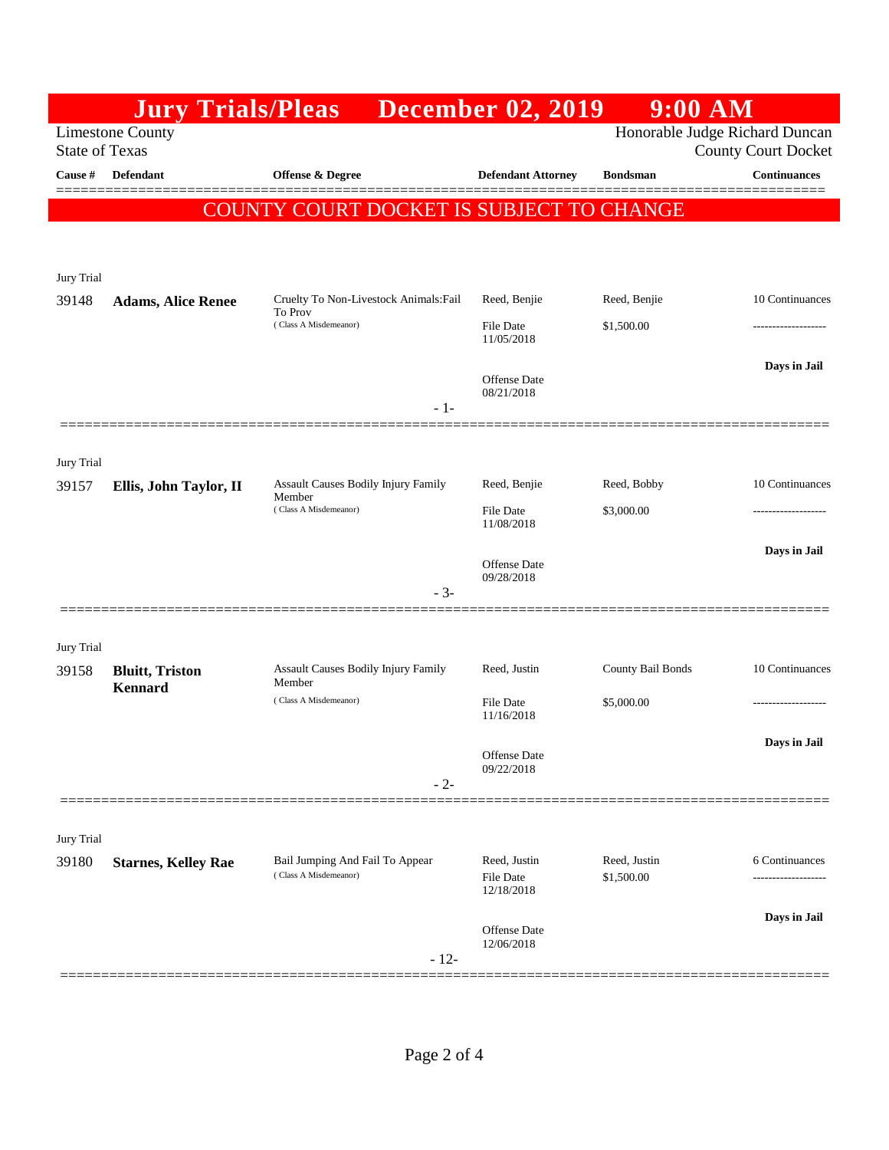|                                                                                                                  | <b>Jury Trials/Pleas</b>                  |                                                          | <b>December 02, 2019</b>         | 9:00 AM                    |                     |
|------------------------------------------------------------------------------------------------------------------|-------------------------------------------|----------------------------------------------------------|----------------------------------|----------------------------|---------------------|
| <b>Limestone County</b><br>Honorable Judge Richard Duncan<br><b>State of Texas</b><br><b>County Court Docket</b> |                                           |                                                          |                                  |                            |                     |
| Cause #                                                                                                          | Defendant                                 | <b>Offense &amp; Degree</b>                              | <b>Defendant Attorney</b>        | <b>Bondsman</b>            | <b>Continuances</b> |
|                                                                                                                  |                                           | COUNTY COURT DOCKET IS SUBJECT TO CHANGE                 |                                  |                            |                     |
|                                                                                                                  |                                           |                                                          |                                  |                            |                     |
| Jury Trial                                                                                                       |                                           |                                                          |                                  |                            |                     |
| 39148                                                                                                            | <b>Adams, Alice Renee</b>                 | Cruelty To Non-Livestock Animals: Fail<br>To Prov        | Reed, Benjie                     | Reed, Benjie               | 10 Continuances     |
|                                                                                                                  |                                           | (Class A Misdemeanor)                                    | <b>File Date</b><br>11/05/2018   | \$1,500.00                 |                     |
|                                                                                                                  |                                           |                                                          | Offense Date                     |                            | Days in Jail        |
|                                                                                                                  |                                           | $-1-$                                                    | 08/21/2018                       |                            |                     |
|                                                                                                                  |                                           |                                                          |                                  |                            |                     |
| Jury Trial                                                                                                       |                                           |                                                          |                                  |                            |                     |
| 39157                                                                                                            | Ellis, John Taylor, II                    | <b>Assault Causes Bodily Injury Family</b><br>Member     | Reed, Benjie                     | Reed, Bobby                | 10 Continuances     |
|                                                                                                                  |                                           | (Class A Misdemeanor)                                    | File Date<br>11/08/2018          | \$3,000.00                 | .                   |
|                                                                                                                  |                                           |                                                          | Offense Date                     |                            | Days in Jail        |
|                                                                                                                  |                                           | $-3-$                                                    | 09/28/2018                       |                            |                     |
|                                                                                                                  |                                           |                                                          |                                  |                            |                     |
| Jury Trial                                                                                                       |                                           |                                                          |                                  |                            |                     |
| 39158                                                                                                            | <b>Bluitt</b> , Triston<br><b>Kennard</b> | <b>Assault Causes Bodily Injury Family</b><br>Member     | Reed, Justin                     | County Bail Bonds          | 10 Continuances     |
|                                                                                                                  |                                           | (Class A Misdemeanor)                                    | <b>File Date</b><br>11/16/2018   | \$5,000.00                 |                     |
|                                                                                                                  |                                           |                                                          | Offense Date                     |                            | Days in Jail        |
|                                                                                                                  |                                           | $-2-$                                                    | 09/22/2018                       |                            |                     |
|                                                                                                                  |                                           |                                                          |                                  |                            |                     |
| Jury Trial                                                                                                       |                                           |                                                          |                                  |                            |                     |
| 39180                                                                                                            | <b>Starnes, Kelley Rae</b>                | Bail Jumping And Fail To Appear<br>(Class A Misdemeanor) | Reed, Justin<br><b>File Date</b> | Reed, Justin<br>\$1,500.00 | 6 Continuances      |
|                                                                                                                  |                                           |                                                          | 12/18/2018                       |                            | Days in Jail        |
|                                                                                                                  |                                           |                                                          | Offense Date<br>12/06/2018       |                            |                     |
|                                                                                                                  |                                           | $-12-$                                                   |                                  |                            |                     |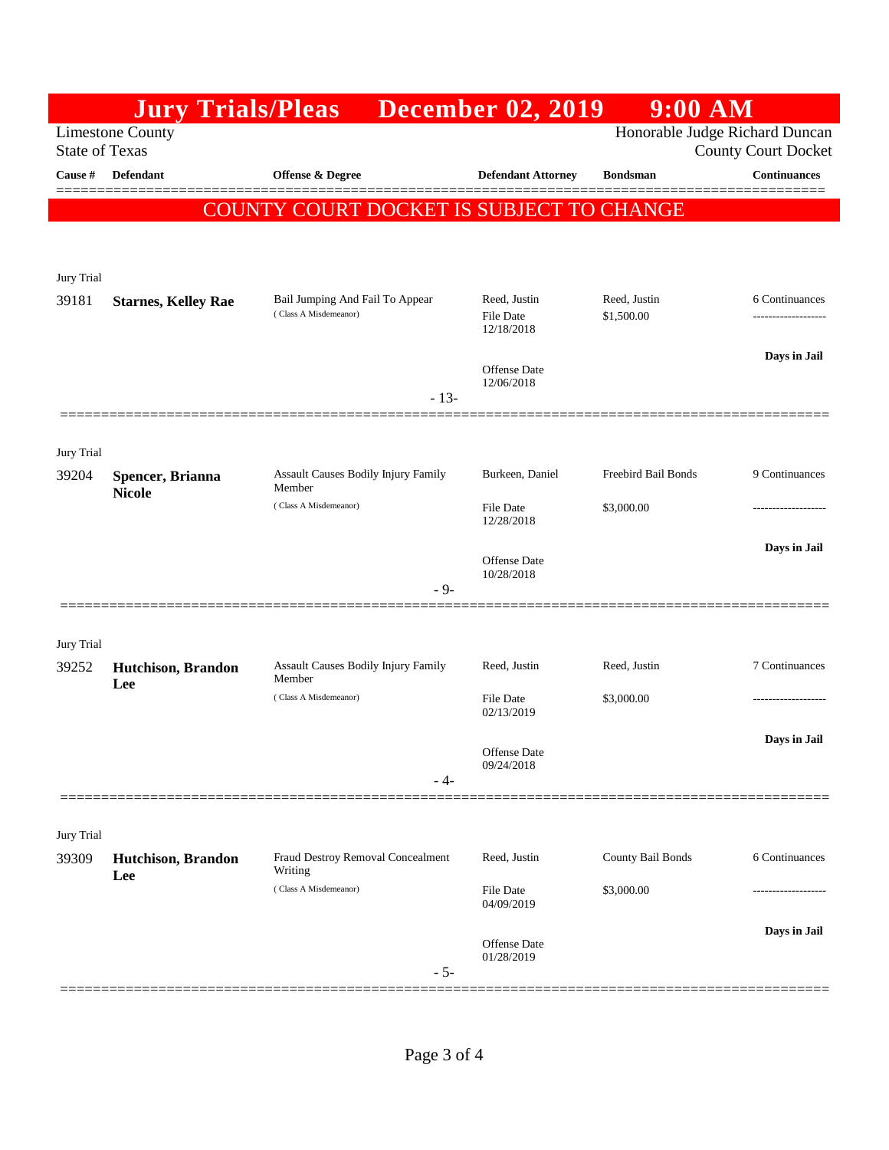|                                                                                                                  | <b>Jury Trials/Pleas</b>          |                                                          | <b>December 02, 2019</b>                | $9:00$ AM                  |                     |
|------------------------------------------------------------------------------------------------------------------|-----------------------------------|----------------------------------------------------------|-----------------------------------------|----------------------------|---------------------|
| Honorable Judge Richard Duncan<br><b>Limestone County</b><br><b>State of Texas</b><br><b>County Court Docket</b> |                                   |                                                          |                                         |                            |                     |
| <b>Cause #</b>                                                                                                   | Defendant                         | <b>Offense &amp; Degree</b>                              | <b>Defendant Attorney</b>               | <b>Bondsman</b>            | <b>Continuances</b> |
|                                                                                                                  |                                   | COUNTY COURT DOCKET IS SUBJECT TO CHANGE                 |                                         |                            |                     |
|                                                                                                                  |                                   |                                                          |                                         |                            |                     |
| Jury Trial                                                                                                       |                                   |                                                          |                                         |                            |                     |
| 39181                                                                                                            | <b>Starnes, Kelley Rae</b>        | Bail Jumping And Fail To Appear<br>(Class A Misdemeanor) | Reed, Justin<br>File Date<br>12/18/2018 | Reed, Justin<br>\$1,500.00 | 6 Continuances<br>  |
|                                                                                                                  |                                   |                                                          | <b>Offense</b> Date                     |                            | Days in Jail        |
|                                                                                                                  |                                   | $-13-$                                                   | 12/06/2018                              |                            |                     |
|                                                                                                                  |                                   |                                                          |                                         |                            |                     |
| Jury Trial<br>39204                                                                                              | Spencer, Brianna<br><b>Nicole</b> | <b>Assault Causes Bodily Injury Family</b><br>Member     | Burkeen, Daniel                         | Freebird Bail Bonds        | 9 Continuances      |
|                                                                                                                  |                                   | (Class A Misdemeanor)                                    | <b>File Date</b><br>12/28/2018          | \$3,000.00                 |                     |
|                                                                                                                  |                                   |                                                          | Offense Date                            |                            | Days in Jail        |
|                                                                                                                  |                                   | $-9-$                                                    | 10/28/2018                              |                            |                     |
|                                                                                                                  |                                   |                                                          |                                         |                            |                     |
| Jury Trial                                                                                                       |                                   |                                                          |                                         |                            |                     |
| 39252                                                                                                            | Hutchison, Brandon<br>Lee         | <b>Assault Causes Bodily Injury Family</b><br>Member     | Reed, Justin                            | Reed, Justin               | 7 Continuances      |
|                                                                                                                  |                                   | (Class A Misdemeanor)                                    | <b>File Date</b><br>02/13/2019          | \$3,000.00                 |                     |
|                                                                                                                  |                                   |                                                          | Offense Date<br>09/24/2018              |                            | Days in Jail        |
|                                                                                                                  |                                   | - 4-                                                     |                                         |                            |                     |
| Jury Trial                                                                                                       |                                   |                                                          |                                         |                            |                     |
| 39309                                                                                                            | Hutchison, Brandon<br>Lee         | Fraud Destroy Removal Concealment<br>Writing             | Reed, Justin                            | County Bail Bonds          | 6 Continuances      |
|                                                                                                                  |                                   | (Class A Misdemeanor)                                    | <b>File Date</b><br>04/09/2019          | \$3,000.00                 |                     |
|                                                                                                                  |                                   |                                                          | Offense Date                            |                            | Days in Jail        |
|                                                                                                                  |                                   | $-5-$                                                    | 01/28/2019                              |                            |                     |